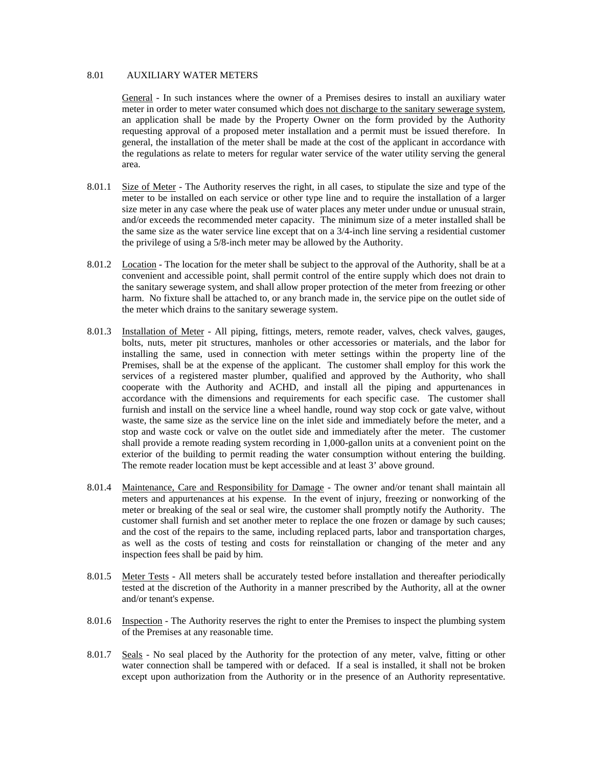## 8.01 AUXILIARY WATER METERS

General - In such instances where the owner of a Premises desires to install an auxiliary water meter in order to meter water consumed which does not discharge to the sanitary sewerage system, an application shall be made by the Property Owner on the form provided by the Authority requesting approval of a proposed meter installation and a permit must be issued therefore. In general, the installation of the meter shall be made at the cost of the applicant in accordance with the regulations as relate to meters for regular water service of the water utility serving the general area.

- 8.01.1 Size of Meter The Authority reserves the right, in all cases, to stipulate the size and type of the meter to be installed on each service or other type line and to require the installation of a larger size meter in any case where the peak use of water places any meter under undue or unusual strain, and/or exceeds the recommended meter capacity. The minimum size of a meter installed shall be the same size as the water service line except that on a 3/4-inch line serving a residential customer the privilege of using a 5/8-inch meter may be allowed by the Authority.
- 8.01.2 Location The location for the meter shall be subject to the approval of the Authority, shall be at a convenient and accessible point, shall permit control of the entire supply which does not drain to the sanitary sewerage system, and shall allow proper protection of the meter from freezing or other harm. No fixture shall be attached to, or any branch made in, the service pipe on the outlet side of the meter which drains to the sanitary sewerage system.
- 8.01.3 Installation of Meter All piping, fittings, meters, remote reader, valves, check valves, gauges, bolts, nuts, meter pit structures, manholes or other accessories or materials, and the labor for installing the same, used in connection with meter settings within the property line of the Premises, shall be at the expense of the applicant. The customer shall employ for this work the services of a registered master plumber, qualified and approved by the Authority, who shall cooperate with the Authority and ACHD, and install all the piping and appurtenances in accordance with the dimensions and requirements for each specific case. The customer shall furnish and install on the service line a wheel handle, round way stop cock or gate valve, without waste, the same size as the service line on the inlet side and immediately before the meter, and a stop and waste cock or valve on the outlet side and immediately after the meter. The customer shall provide a remote reading system recording in 1,000-gallon units at a convenient point on the exterior of the building to permit reading the water consumption without entering the building. The remote reader location must be kept accessible and at least 3' above ground.
- 8.01.4 Maintenance, Care and Responsibility for Damage The owner and/or tenant shall maintain all meters and appurtenances at his expense. In the event of injury, freezing or nonworking of the meter or breaking of the seal or seal wire, the customer shall promptly notify the Authority. The customer shall furnish and set another meter to replace the one frozen or damage by such causes; and the cost of the repairs to the same, including replaced parts, labor and transportation charges, as well as the costs of testing and costs for reinstallation or changing of the meter and any inspection fees shall be paid by him.
- 8.01.5 Meter Tests All meters shall be accurately tested before installation and thereafter periodically tested at the discretion of the Authority in a manner prescribed by the Authority, all at the owner and/or tenant's expense.
- 8.01.6 Inspection The Authority reserves the right to enter the Premises to inspect the plumbing system of the Premises at any reasonable time.
- 8.01.7 Seals No seal placed by the Authority for the protection of any meter, valve, fitting or other water connection shall be tampered with or defaced. If a seal is installed, it shall not be broken except upon authorization from the Authority or in the presence of an Authority representative.